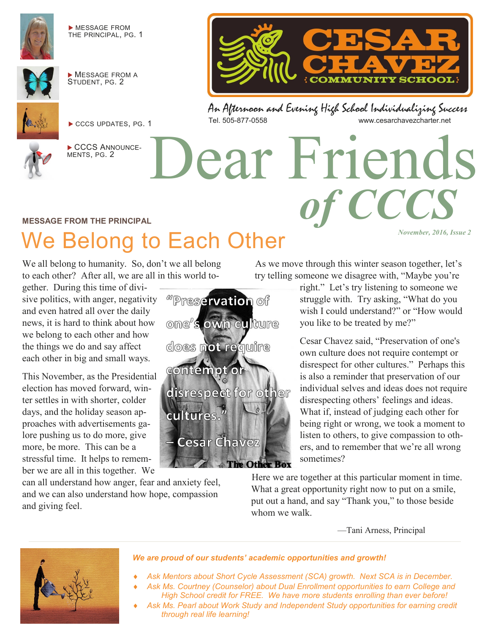

 MESSAGE FROM THE PRINCIPAL, PG. 1



**MESSAGE FROM A** STUDENT, PG. 2



CCCS UPDATES, PG. 1



CCCS ANNOUNCE-MENTS, PG. 2

# ear Friend *of CCCS*

An Afternoon and Evening High School Individualizing Success

#### **MESSAGE FROM THE PRINCIPAL**

# We Belong to Each Other

We all belong to humanity. So, don't we all belong to each other? After all, we are all in this world to-

gether. During this time of divisive politics, with anger, negativity and even hatred all over the daily news, it is hard to think about how we belong to each other and how the things we do and say affect each other in big and small ways.

This November, as the Presidential election has moved forward, winter settles in with shorter, colder days, and the holiday season approaches with advertisements galore pushing us to do more, give more, be more. This can be a stressful time. It helps to remember we are all in this together. We

can all understand how anger, fear and anxiety feel, and we can also understand how hope, compassion and giving feel.



As we move through this winter season together, let's try telling someone we disagree with, "Maybe you're

> right." Let's try listening to someone we struggle with. Try asking, "What do you wish I could understand?" or "How would you like to be treated by me?"

*November, 2016, Issue 2* 

www.cesarchavezcharter.net

**OMMUNITY SCHOOL** 

Cesar Chavez said, "Preservation of one's own culture does not require contempt or disrespect for other cultures." Perhaps this is also a reminder that preservation of our individual selves and ideas does not require disrespecting others' feelings and ideas. What if, instead of judging each other for being right or wrong, we took a moment to listen to others, to give compassion to others, and to remember that we're all wrong sometimes?

Here we are together at this particular moment in time. What a great opportunity right now to put on a smile, put out a hand, and say "Thank you," to those beside whom we walk.

—Tani Arness, Principal



#### *We are proud of our students' academic opportunities and growth!*

- *Ask Mentors about Short Cycle Assessment (SCA) growth. Next SCA is in December.*
- *Ask Ms. Courtney (Counselor) about Dual Enrollment opportunities to earn College and High School credit for FREE. We have more students enrolling than ever before!*
- *Ask Ms. Pearl about Work Study and Independent Study opportunities for earning credit through real life learning!*